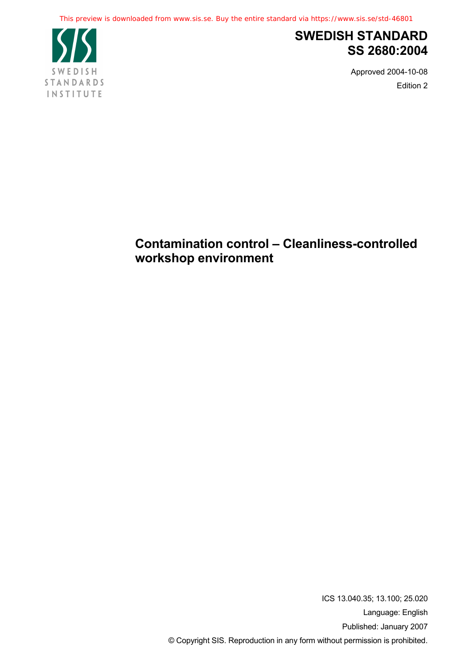This preview is downloaded from www.sis.se. Buy the entire standard via https://www.sis.se/std-46801



# **SWEDISH STANDARD SS 2680:2004**

Approved 2004-10-08 Edition 2

# **Contamination control – Cleanliness-controlled workshop environment**

ICS 13.040.35; 13.100; 25.020 Language: English Published: January 2007 © Copyright SIS. Reproduction in any form without permission is prohibited.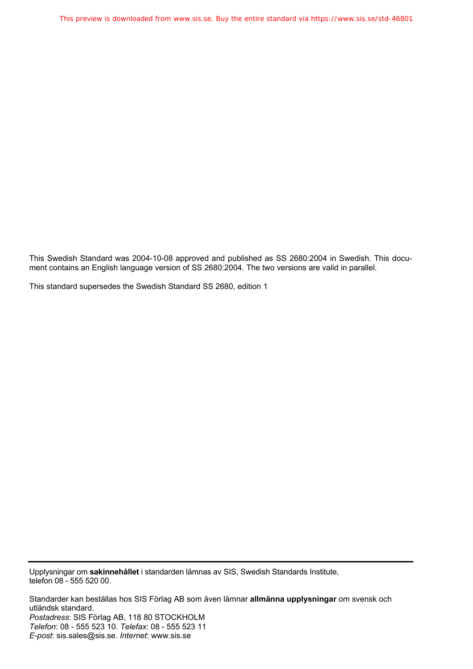This Swedish Standard was 2004-10-08 approved and published as SS 2680:2004 in Swedish. This document contains an English language version of SS 2680:2004. The two versions are valid in parallel.

This standard supersedes the Swedish Standard SS 2680, edition 1

Upplysningar om **sakinnehållet** i standarden lämnas av SIS, Swedish Standards Institute, telefon 08 - 555 520 00.

Standarder kan beställas hos SIS Förlag AB som även lämnar **allmänna upplysningar** om svensk och utländsk standard. *Postadress*: SIS Förlag AB, 118 80 STOCKHOLM *Telefon*: 08 - 555 523 10. *Telefax*: 08 - 555 523 11 *E-post*: sis.sales@sis.se. *Internet*: www.sis.se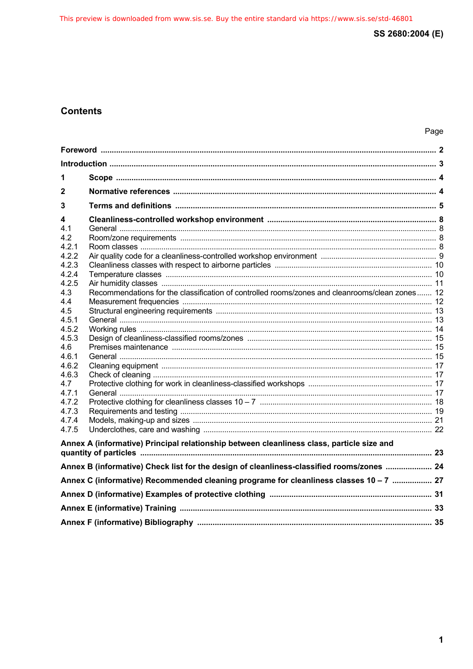# **Contents**

| 1                                                                                         |                                                                                                |  |  |  |
|-------------------------------------------------------------------------------------------|------------------------------------------------------------------------------------------------|--|--|--|
| 2                                                                                         |                                                                                                |  |  |  |
| 3                                                                                         |                                                                                                |  |  |  |
| 4<br>4.1                                                                                  |                                                                                                |  |  |  |
| 4.2                                                                                       |                                                                                                |  |  |  |
| 4.2.1                                                                                     |                                                                                                |  |  |  |
| 4.2.2                                                                                     |                                                                                                |  |  |  |
| 4.2.3                                                                                     |                                                                                                |  |  |  |
| 4.2.4                                                                                     |                                                                                                |  |  |  |
| 4.2.5                                                                                     |                                                                                                |  |  |  |
| 4.3                                                                                       | Recommendations for the classification of controlled rooms/zones and cleanrooms/clean zones 12 |  |  |  |
| 4.4                                                                                       |                                                                                                |  |  |  |
| 4.5                                                                                       |                                                                                                |  |  |  |
| 4.5.1                                                                                     |                                                                                                |  |  |  |
| 4.5.2                                                                                     |                                                                                                |  |  |  |
| 4.5.3                                                                                     |                                                                                                |  |  |  |
| 4.6<br>4.6.1                                                                              |                                                                                                |  |  |  |
| 4.6.2                                                                                     |                                                                                                |  |  |  |
| 4.6.3                                                                                     |                                                                                                |  |  |  |
| 4.7                                                                                       |                                                                                                |  |  |  |
| 4.7.1                                                                                     |                                                                                                |  |  |  |
| 4.7.2                                                                                     |                                                                                                |  |  |  |
| 4.7.3                                                                                     |                                                                                                |  |  |  |
| 4.7.4                                                                                     |                                                                                                |  |  |  |
| 4.7.5                                                                                     |                                                                                                |  |  |  |
| Annex A (informative) Principal relationship between cleanliness class, particle size and |                                                                                                |  |  |  |
|                                                                                           |                                                                                                |  |  |  |
|                                                                                           | Annex B (informative) Check list for the design of cleanliness-classified rooms/zones  24      |  |  |  |
| Annex C (informative) Recommended cleaning programe for cleanliness classes 10 - 7  27    |                                                                                                |  |  |  |
|                                                                                           |                                                                                                |  |  |  |
|                                                                                           |                                                                                                |  |  |  |
|                                                                                           |                                                                                                |  |  |  |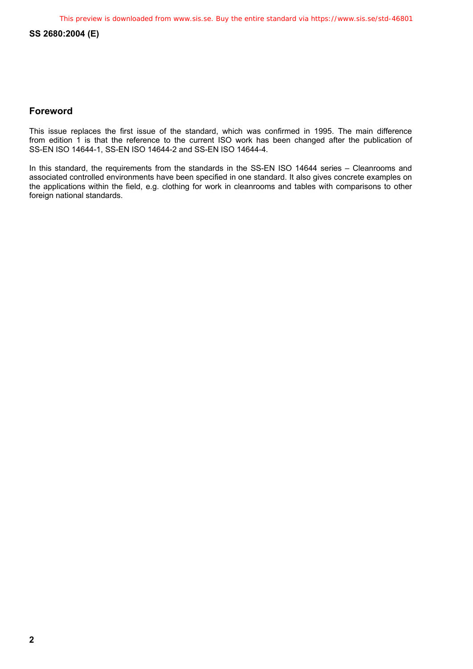# **Foreword**

This issue replaces the first issue of the standard, which was confirmed in 1995. The main difference from edition 1 is that the reference to the current ISO work has been changed after the publication of SS-EN ISO 14644-1, SS-EN ISO 14644-2 and SS-EN ISO 14644-4.

In this standard, the requirements from the standards in the SS-EN ISO 14644 series - Cleanrooms and associated controlled environments have been specified in one standard. It also gives concrete examples on the applications within the field, e.g. clothing for work in cleanrooms and tables with comparisons to other foreign national standards.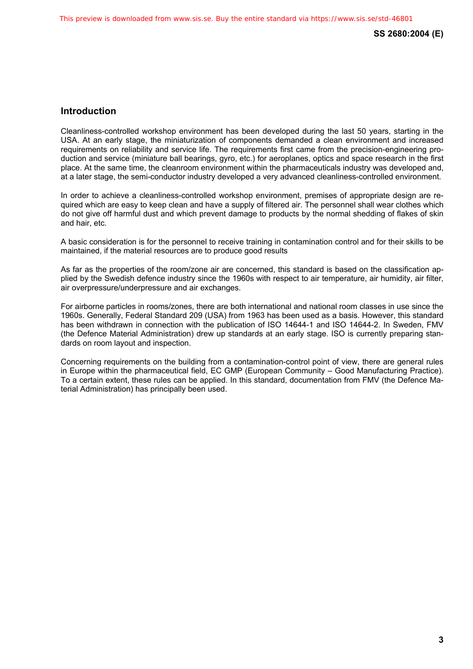# **Introduction**

Cleanliness-controlled workshop environment has been developed during the last 50 years, starting in the USA. At an early stage, the miniaturization of components demanded a clean environment and increased requirements on reliability and service life. The requirements first came from the precision-engineering production and service (miniature ball bearings, gyro, etc.) for aeroplanes, optics and space research in the first place. At the same time, the cleanroom environment within the pharmaceuticals industry was developed and, at a later stage, the semi-conductor industry developed a very advanced cleanliness-controlled environment.

In order to achieve a cleanliness-controlled workshop environment, premises of appropriate design are required which are easy to keep clean and have a supply of filtered air. The personnel shall wear clothes which do not give off harmful dust and which prevent damage to products by the normal shedding of flakes of skin and hair, etc.

A basic consideration is for the personnel to receive training in contamination control and for their skills to be maintained, if the material resources are to produce good results

As far as the properties of the room/zone air are concerned, this standard is based on the classification applied by the Swedish defence industry since the 1960s with respect to air temperature, air humidity, air filter, air overpressure/underpressure and air exchanges.

For airborne particles in rooms/zones, there are both international and national room classes in use since the 1960s. Generally, Federal Standard 209 (USA) from 1963 has been used as a basis. However, this standard has been withdrawn in connection with the publication of ISO 14644-1 and ISO 14644-2. In Sweden, FMV (the Defence Material Administration) drew up standards at an early stage. ISO is currently preparing standards on room layout and inspection.

Concerning requirements on the building from a contamination-control point of view, there are general rules in Europe within the pharmaceutical field, EC GMP (European Community – Good Manufacturing Practice). To a certain extent, these rules can be applied. In this standard, documentation from FMV (the Defence Material Administration) has principally been used.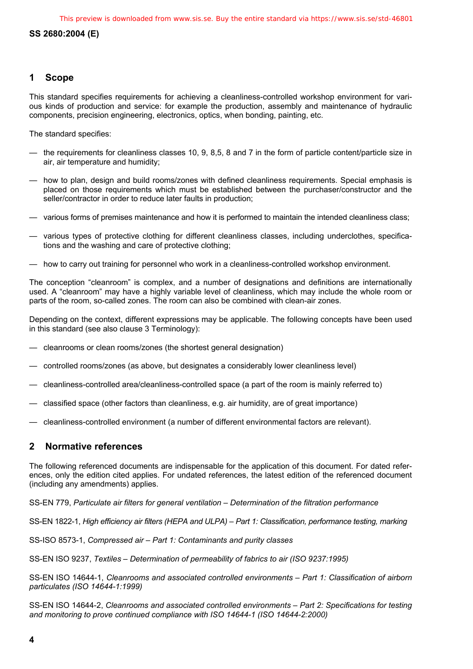# **1 Scope**

This standard specifies requirements for achieving a cleanliness-controlled workshop environment for various kinds of production and service: for example the production, assembly and maintenance of hydraulic components, precision engineering, electronics, optics, when bonding, painting, etc.

The standard specifies:

- the requirements for cleanliness classes 10, 9, 8,5, 8 and 7 in the form of particle content/particle size in air, air temperature and humidity;
- how to plan, design and build rooms/zones with defined cleanliness requirements. Special emphasis is placed on those requirements which must be established between the purchaser/constructor and the seller/contractor in order to reduce later faults in production;
- various forms of premises maintenance and how it is performed to maintain the intended cleanliness class;
- various types of protective clothing for different cleanliness classes, including underclothes, specifications and the washing and care of protective clothing;
- how to carry out training for personnel who work in a cleanliness-controlled workshop environment.

The conception "cleanroom" is complex, and a number of designations and definitions are internationally used. A "cleanroom" may have a highly variable level of cleanliness, which may include the whole room or parts of the room, so-called zones. The room can also be combined with clean-air zones.

Depending on the context, different expressions may be applicable. The following concepts have been used in this standard (see also clause 3 Terminology):

- cleanrooms or clean rooms/zones (the shortest general designation)
- controlled rooms/zones (as above, but designates a considerably lower cleanliness level)
- cleanliness-controlled area/cleanliness-controlled space (a part of the room is mainly referred to)
- classified space (other factors than cleanliness, e.g. air humidity, are of great importance)
- cleanliness-controlled environment (a number of different environmental factors are relevant).

# **2 Normative references**

The following referenced documents are indispensable for the application of this document. For dated references, only the edition cited applies. For undated references, the latest edition of the referenced document (including any amendments) applies.

SS-EN 779, *Particulate air filters for general ventilation – Determination of the filtration performance* 

SS-EN 1822-1, *High efficiency air filters (HEPA and ULPA) – Part 1: Classification, performance testing, marking* 

SS-ISO 8573-1, *Compressed air – Part 1: Contaminants and purity classes*

SS-EN ISO 9237, *Textiles – Determination of permeability of fabrics to air (ISO 9237:1995)*

SS-EN ISO 14644-1, *Cleanrooms and associated controlled environments – Part 1: Classification of airborn particulates (ISO 14644-1:1999)*

SS-EN ISO 14644-2, *Cleanrooms and associated controlled environments – Part 2: Specifications for testing and monitoring to prove continued compliance with ISO 14644-1 (ISO 14644-2:2000)*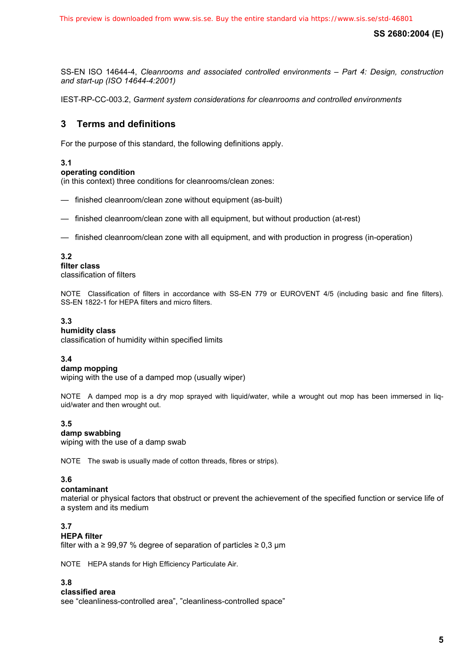SS-EN ISO 14644-4, *Cleanrooms and associated controlled environments – Part 4: Design, construction and start-up (ISO 14644-4:2001)*

IEST-RP-CC-003.2, *Garment system considerations for cleanrooms and controlled environments*

# **3 Terms and definitions**

For the purpose of this standard, the following definitions apply.

# **3.1**

# **operating condition**

(in this context) three conditions for cleanrooms/clean zones:

- finished cleanroom/clean zone without equipment (as-built)
- finished cleanroom/clean zone with all equipment, but without production (at-rest)
- finished cleanroom/clean zone with all equipment, and with production in progress (in-operation)

# **3.2**

**filter class**  classification of filters

NOTE Classification of filters in accordance with SS-EN 779 or EUROVENT 4/5 (including basic and fine filters). SS-EN 1822-1 for HEPA filters and micro filters.

### **3.3**

### **humidity class**

classification of humidity within specified limits

### **3.4**

#### **damp mopping**

wiping with the use of a damped mop (usually wiper)

NOTE A damped mop is a dry mop sprayed with liquid/water, while a wrought out mop has been immersed in liquid/water and then wrought out.

### **3.5**

### **damp swabbing**

wiping with the use of a damp swab

NOTE The swab is usually made of cotton threads, fibres or strips).

### **3.6**

### **contaminant**

material or physical factors that obstruct or prevent the achievement of the specified function or service life of a system and its medium

# **3.7**

# **HEPA filter**

filter with a  $\geq$  99,97 % degree of separation of particles  $\geq$  0,3 µm

NOTE HEPA stands for High Efficiency Particulate Air.

### **3.8**

### **classified area**

see "cleanliness-controlled area", "cleanliness-controlled space"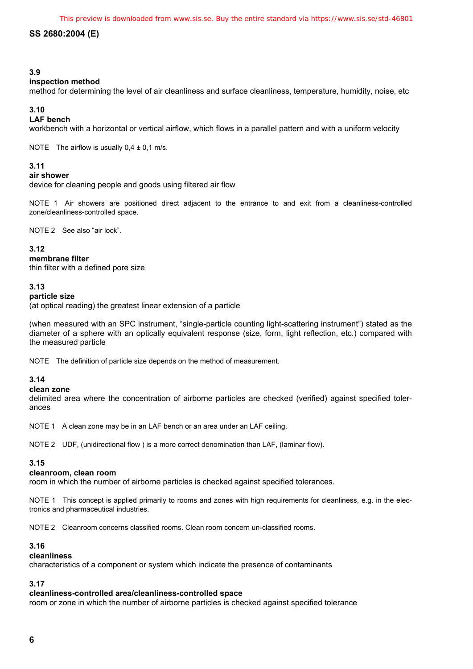### **3.9**

### **inspection method**

method for determining the level of air cleanliness and surface cleanliness, temperature, humidity, noise, etc

# **3.10**

# **LAF bench**

workbench with a horizontal or vertical airflow, which flows in a parallel pattern and with a uniform velocity

NOTE The airflow is usually  $0.4 \pm 0.1$  m/s.

### **3.11**

#### **air shower**

device for cleaning people and goods using filtered air flow

NOTE 1 Air showers are positioned direct adjacent to the entrance to and exit from a cleanliness-controlled zone/cleanliness-controlled space.

NOTE 2 See also "air lock".

#### **3.12**

#### **membrane filter**

thin filter with a defined pore size

#### **3.13**

#### **particle size**

(at optical reading) the greatest linear extension of a particle

(when measured with an SPC instrument, "single-particle counting light-scattering instrument") stated as the diameter of a sphere with an optically equivalent response (size, form, light reflection, etc.) compared with the measured particle

NOTE The definition of particle size depends on the method of measurement.

### **3.14**

#### **clean zone**

delimited area where the concentration of airborne particles are checked (verified) against specified tolerances

NOTE 1 A clean zone may be in an LAF bench or an area under an LAF ceiling.

NOTE 2 UDF, (unidirectional flow ) is a more correct denomination than LAF, (laminar flow).

# **3.15**

# **cleanroom, clean room**

room in which the number of airborne particles is checked against specified tolerances.

NOTE 1 This concept is applied primarily to rooms and zones with high requirements for cleanliness, e.g. in the electronics and pharmaceutical industries.

NOTE 2 Cleanroom concerns classified rooms. Clean room concern un-classified rooms.

### **3.16**

#### **cleanliness**

characteristics of a component or system which indicate the presence of contaminants

# **3.17**

# **cleanliness-controlled area/cleanliness-controlled space**

room or zone in which the number of airborne particles is checked against specified tolerance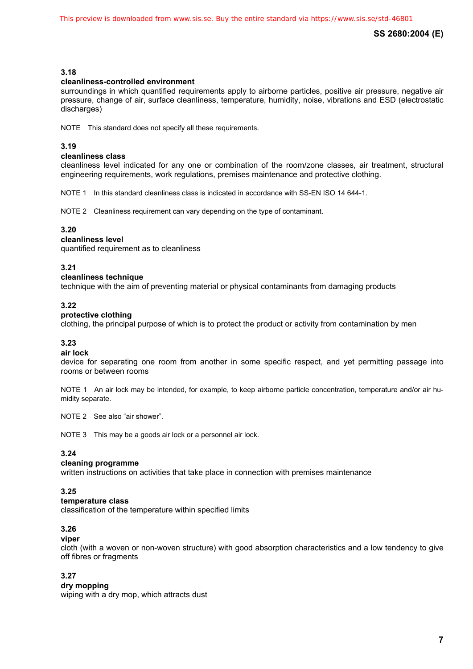# **3.18**

# **cleanliness-controlled environment**

surroundings in which quantified requirements apply to airborne particles, positive air pressure, negative air pressure, change of air, surface cleanliness, temperature, humidity, noise, vibrations and ESD (electrostatic discharges)

NOTE This standard does not specify all these requirements.

# **3.19**

#### **cleanliness class**

cleanliness level indicated for any one or combination of the room/zone classes, air treatment, structural engineering requirements, work regulations, premises maintenance and protective clothing.

NOTE 1 In this standard cleanliness class is indicated in accordance with SS-EN ISO 14 644-1.

NOTE 2 Cleanliness requirement can vary depending on the type of contaminant.

### **3.20**

# **cleanliness level**

quantified requirement as to cleanliness

# **3.21**

#### **cleanliness technique**

technique with the aim of preventing material or physical contaminants from damaging products

#### **3.22**

### **protective clothing**

clothing, the principal purpose of which is to protect the product or activity from contamination by men

# **3.23**

### **air lock**

device for separating one room from another in some specific respect, and yet permitting passage into rooms or between rooms

NOTE 1 An air lock may be intended, for example, to keep airborne particle concentration, temperature and/or air humidity separate.

NOTE 2 See also "air shower".

NOTE 3 This may be a goods air lock or a personnel air lock.

# **3.24**

# **cleaning programme**

written instructions on activities that take place in connection with premises maintenance

### **3.25**

#### **temperature class**

classification of the temperature within specified limits

### **3.26**

#### **viper**

cloth (with a woven or non-woven structure) with good absorption characteristics and a low tendency to give off fibres or fragments

## **3.27**

### **dry mopping**

wiping with a dry mop, which attracts dust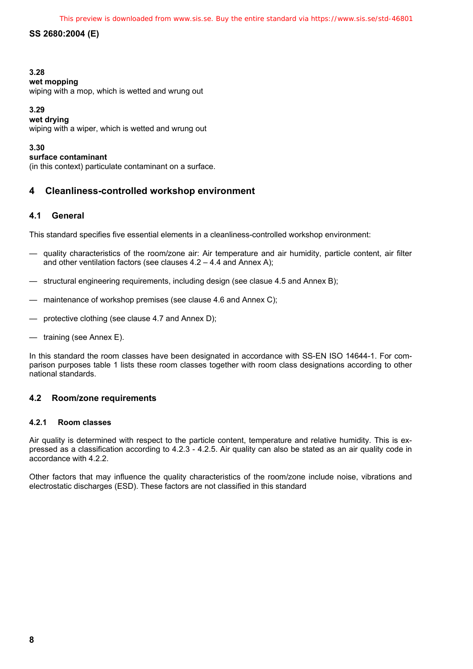# **3.28**

# **wet mopping**

wiping with a mop, which is wetted and wrung out

# **3.29**

**wet drying** 

wiping with a wiper, which is wetted and wrung out

# **3.30**

# **surface contaminant**

(in this context) particulate contaminant on a surface.

# **4 Cleanliness-controlled workshop environment**

# **4.1 General**

This standard specifies five essential elements in a cleanliness-controlled workshop environment:

- quality characteristics of the room/zone air: Air temperature and air humidity, particle content, air filter and other ventilation factors (see clauses 4.2 – 4.4 and Annex A);
- structural engineering requirements, including design (see clasue 4.5 and Annex B);
- maintenance of workshop premises (see clause 4.6 and Annex C);
- protective clothing (see clause 4.7 and Annex D);
- training (see Annex E).

In this standard the room classes have been designated in accordance with SS-EN ISO 14644-1. For comparison purposes table 1 lists these room classes together with room class designations according to other national standards.

# **4.2 Room/zone requirements**

# **4.2.1 Room classes**

Air quality is determined with respect to the particle content, temperature and relative humidity. This is expressed as a classification according to 4.2.3 - 4.2.5. Air quality can also be stated as an air quality code in accordance with 4.2.2.

Other factors that may influence the quality characteristics of the room/zone include noise, vibrations and electrostatic discharges (ESD). These factors are not classified in this standard